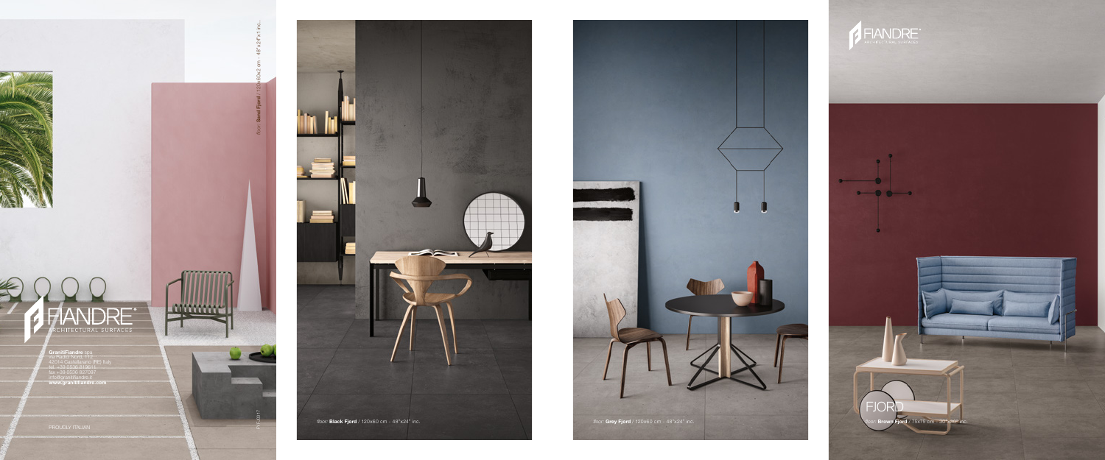